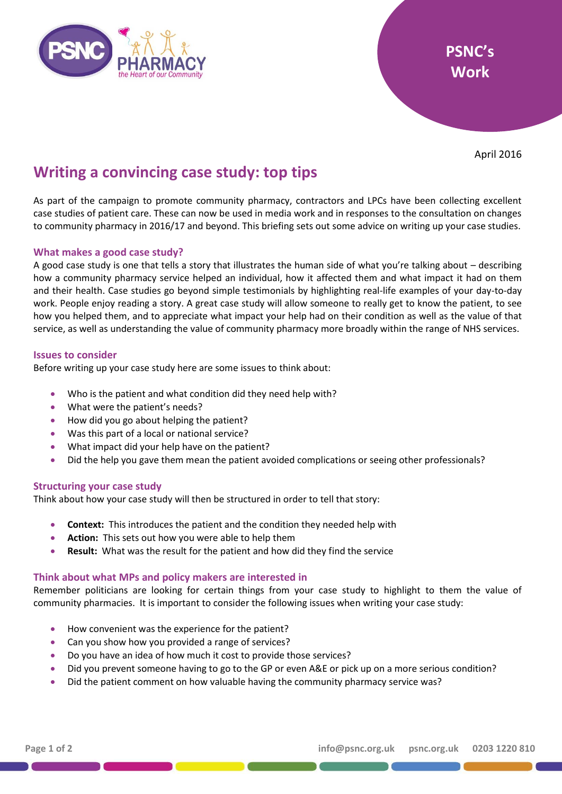

April 2016

# **Writing a convincing case study: top tips**

As part of the campaign to promote community pharmacy, contractors and LPCs have been collecting excellent case studies of patient care. These can now be used in media work and in responses to the consultation on changes to community pharmacy in 2016/17 and beyond. This briefing sets out some advice on writing up your case studies.

## **What makes a good case study?**

A good case study is one that tells a story that illustrates the human side of what you're talking about – describing how a community pharmacy service helped an individual, how it affected them and what impact it had on them and their health. Case studies go beyond simple testimonials by highlighting real-life examples of your day-to-day work. People enjoy reading a story. A great case study will allow someone to really get to know the patient, to see how you helped them, and to appreciate what impact your help had on their condition as well as the value of that service, as well as understanding the value of community pharmacy more broadly within the range of NHS services.

## **Issues to consider**

Before writing up your case study here are some issues to think about:

- Who is the patient and what condition did they need help with?
- What were the patient's needs?
- How did you go about helping the patient?
- Was this part of a local or national service?
- What impact did your help have on the patient?
- Did the help you gave them mean the patient avoided complications or seeing other professionals?

## **Structuring your case study**

Think about how your case study will then be structured in order to tell that story:

- **Context:** This introduces the patient and the condition they needed help with
- **Action:** This sets out how you were able to help them
- **Result:** What was the result for the patient and how did they find the service

## **Think about what MPs and policy makers are interested in**

Remember politicians are looking for certain things from your case study to highlight to them the value of community pharmacies. It is important to consider the following issues when writing your case study:

- How convenient was the experience for the patient?
- Can you show how you provided a range of services?
- Do you have an idea of how much it cost to provide those services?
- Did you prevent someone having to go to the GP or even A&E or pick up on a more serious condition?
- Did the patient comment on how valuable having the community pharmacy service was?